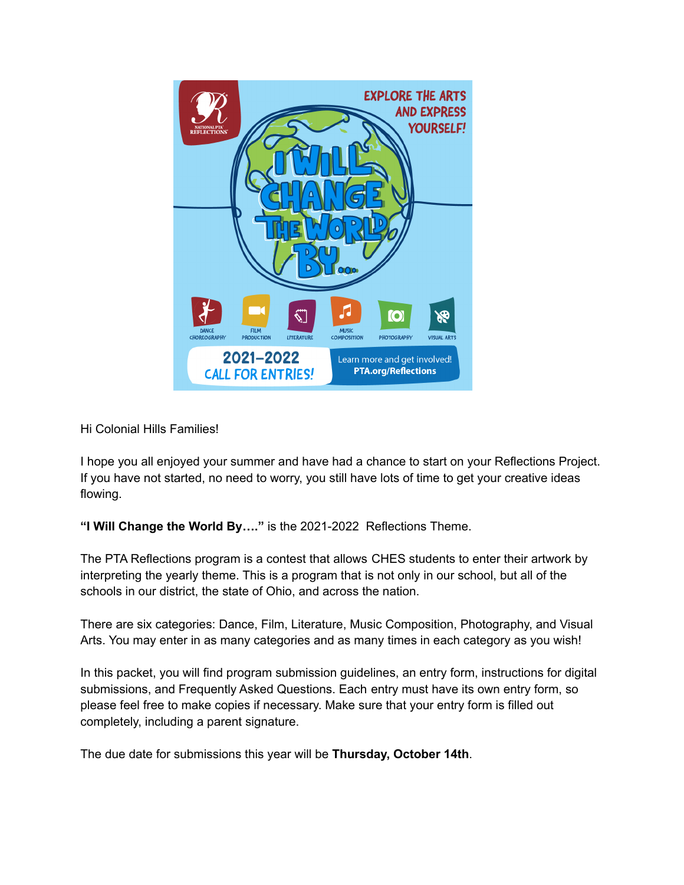

Hi Colonial Hills Families!

I hope you all enjoyed your summer and have had a chance to start on your Reflections Project. If you have not started, no need to worry, you still have lots of time to get your creative ideas flowing.

**"I Will Change the World By…."** is the 2021-2022 Reflections Theme.

The PTA Reflections program is a contest that allows CHES students to enter their artwork by interpreting the yearly theme. This is a program that is not only in our school, but all of the schools in our district, the state of Ohio, and across the nation.

There are six categories: Dance, Film, Literature, Music Composition, Photography, and Visual Arts. You may enter in as many categories and as many times in each category as you wish!

In this packet, you will find program submission guidelines, an entry form, instructions for digital submissions, and Frequently Asked Questions. Each entry must have its own entry form, so please feel free to make copies if necessary. Make sure that your entry form is filled out completely, including a parent signature.

The due date for submissions this year will be **Thursday, October 14th**.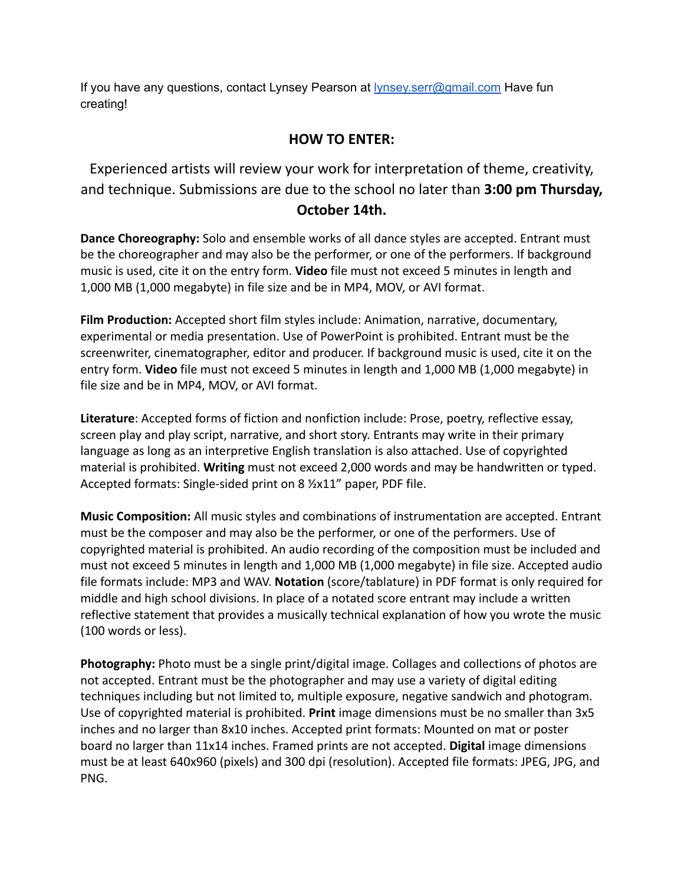If you have any questions, contact Lynsey Pearson at [lynsey.serr@gmail.com](mailto:lynsey.serr@gmail.com) Have fun creating!

# **HOW TO ENTER:**

Experienced artists will review your work for interpretation of theme, creativity, and technique. Submissions are due to the school no later than **3:00 pm Thursday,**

**October 14th.**

**Dance Choreography:** Solo and ensemble works of all dance styles are accepted. Entrant must be the choreographer and may also be the performer, or one of the performers. If background music is used, cite it on the entry form. **Video** file must not exceed 5 minutes in length and 1,000 MB (1,000 megabyte) in file size and be in MP4, MOV, or AVI format.

**Film Production:** Accepted short film styles include: Animation, narrative, documentary, experimental or media presentation. Use of PowerPoint is prohibited. Entrant must be the screenwriter, cinematographer, editor and producer. If background music is used, cite it on the entry form. **Video** file must not exceed 5 minutes in length and 1,000 MB (1,000 megabyte) in file size and be in MP4, MOV, or AVI format.

**Literature**: Accepted forms of fiction and nonfiction include: Prose, poetry, reflective essay, screen play and play script, narrative, and short story. Entrants may write in their primary language as long as an interpretive English translation is also attached. Use of copyrighted material is prohibited. **Writing** must not exceed 2,000 words and may be handwritten or typed. Accepted formats: Single-sided print on 8 ½x11" paper, PDF file.

**Music Composition:** All music styles and combinations of instrumentation are accepted. Entrant must be the composer and may also be the performer, or one of the performers. Use of copyrighted material is prohibited. An audio recording of the composition must be included and must not exceed 5 minutes in length and 1,000 MB (1,000 megabyte) in file size. Accepted audio file formats include: MP3 and WAV. **Notation** (score/tablature) in PDF format is only required for middle and high school divisions. In place of a notated score entrant may include a written reflective statement that provides a musically technical explanation of how you wrote the music (100 words or less).

**Photography:** Photo must be a single print/digital image. Collages and collections of photos are not accepted. Entrant must be the photographer and may use a variety of digital editing techniques including but not limited to, multiple exposure, negative sandwich and photogram. Use of copyrighted material is prohibited. **Print** image dimensions must be no smaller than 3x5 inches and no larger than 8x10 inches. Accepted print formats: Mounted on mat or poster board no larger than 11x14 inches. Framed prints are not accepted. **Digital** image dimensions must be at least 640x960 (pixels) and 300 dpi (resolution). Accepted file formats: JPEG, JPG, and PNG.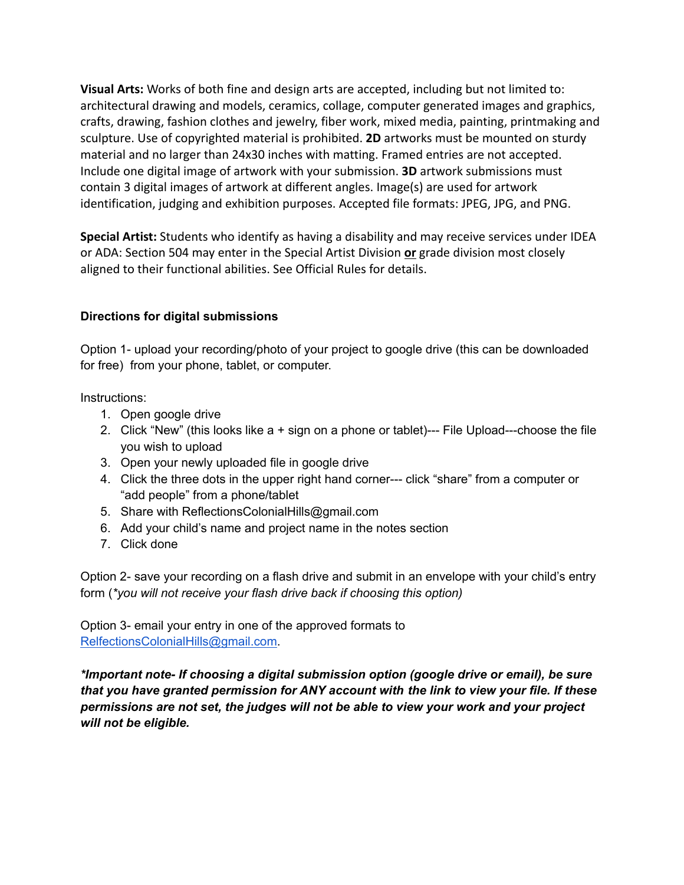**Visual Arts:** Works of both fine and design arts are accepted, including but not limited to: architectural drawing and models, ceramics, collage, computer generated images and graphics, crafts, drawing, fashion clothes and jewelry, fiber work, mixed media, painting, printmaking and sculpture. Use of copyrighted material is prohibited. **2D** artworks must be mounted on sturdy material and no larger than 24x30 inches with matting. Framed entries are not accepted. Include one digital image of artwork with your submission. **3D** artwork submissions must contain 3 digital images of artwork at different angles. Image(s) are used for artwork identification, judging and exhibition purposes. Accepted file formats: JPEG, JPG, and PNG.

**Special Artist:** Students who identify as having a disability and may receive services under IDEA or ADA: Section 504 may enter in the Special Artist Division **or** grade division most closely aligned to their functional abilities. See Official Rules for details.

# **Directions for digital submissions**

Option 1- upload your recording/photo of your project to google drive (this can be downloaded for free) from your phone, tablet, or computer.

Instructions:

- 1. Open google drive
- 2. Click "New" (this looks like a + sign on a phone or tablet)--- File Upload---choose the file you wish to upload
- 3. Open your newly uploaded file in google drive
- 4. Click the three dots in the upper right hand corner--- click "share" from a computer or "add people" from a phone/tablet
- 5. Share with ReflectionsColonialHills@gmail.com
- 6. Add your child's name and project name in the notes section
- 7. Click done

Option 2- save your recording on a flash drive and submit in an envelope with your child's entry form (*\*you will not receive your flash drive back if choosing this option)*

Option 3- email your entry in one of the approved formats to [RelfectionsColonialHills@gmail.com](mailto:RelfectionsColonialHills@gmail.com).

*\*Important note- If choosing a digital submission option (google drive or email), be sure that you have granted permission for ANY account with the link to view your file. If these permissions are not set, the judges will not be able to view your work and your project will not be eligible.*